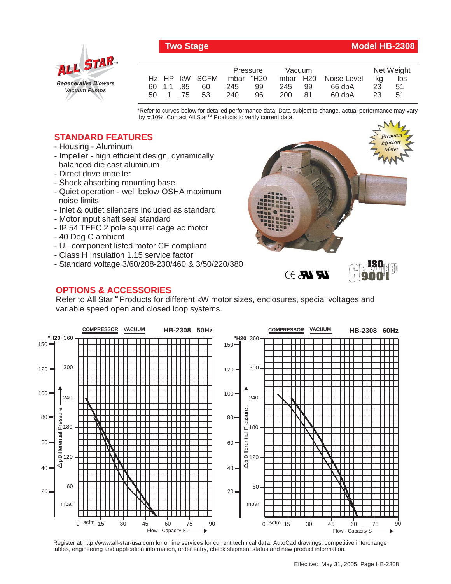



|                           |            | Pressure   | Vacuum                |    | Net Weight |  |
|---------------------------|------------|------------|-----------------------|----|------------|--|
| H <sub>z</sub> HP kW SCFM |            | mbar "H20  | mbar "H20 Noise Level | ka | lbs        |  |
| 60 1.1 .85                | 245<br>60  | 245<br>99  | 66 dbA<br>99          | 23 | 51         |  |
| 50 1 75                   | 240<br>-53 | 96.<br>200 | 60 dbA<br>81          | 23 | -51        |  |

\*Refer to curves below for detailed performance data. Data subject to change, actual performance may vary by **+** 10%. Contact All Star™ Products to verify current data.

## **STANDARD FEATURES**

- Housing Aluminum
- Impeller high efficient design, dynamically balanced die cast aluminum
- Direct drive impeller
- Shock absorbing mounting base
- Quiet operation well below OSHA maximum noise limits
- Inlet & outlet silencers included as standard
- Motor input shaft seal standard
- IP 54 TEFC 2 pole squirrel cage ac motor
- 40 Deg C ambient
- UL component listed motor CE compliant
- Class H Insulation 1.15 service factor
- Standard voltage 3/60/208-230/460 & 3/50/220/380

## **OPTIONS & ACCESSORIES**

*Premium Efficient Motor Premium Efficient Motor*



Refer to All Star<sup>™</sup> Products for different kW motor sizes, enclosures, special voltages and variable speed open and closed loop systems.



Register at http://www.all-star-usa.com for online services for current technical data, AutoCad drawings, competitive interchange tables, engineering and application information, order entry, check shipment status and new product information.